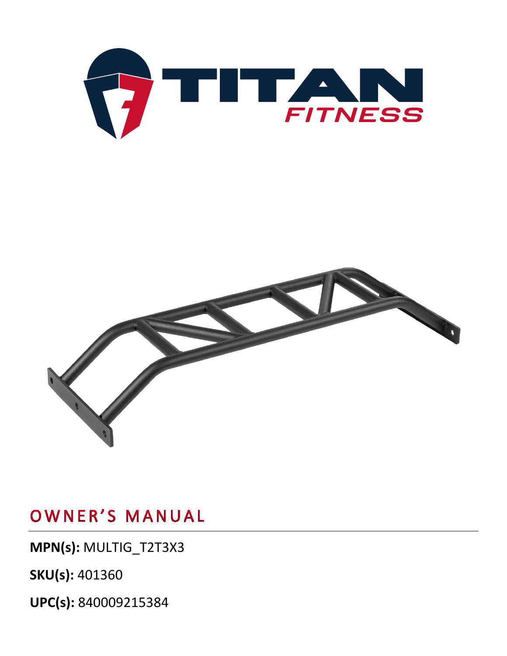

## OWNER'S MANUAL

**MPN(s):** MULTIG\_T2T3X3

**SKU(s):** 401360

**UPC(s):** 840009215384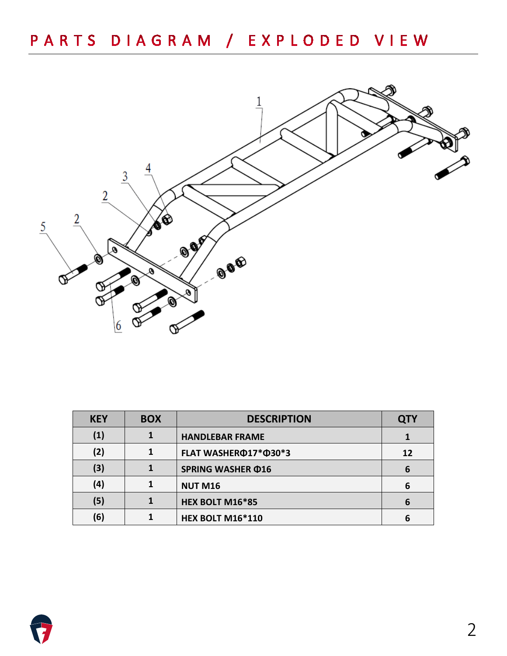

| <b>KEY</b> | <b>BOX</b> | <b>DESCRIPTION</b>       | <b>QTY</b> |
|------------|------------|--------------------------|------------|
| (1)        |            | <b>HANDLEBAR FRAME</b>   |            |
| (2)        |            | FLAT WASHERФ17*Ф30*3     | 12         |
| (3)        |            | <b>SPRING WASHER ¢16</b> | 6          |
| (4)        |            | <b>NUT M16</b>           | 6          |
| (5)        |            | HEX BOLT M16*85          | 6          |
| (6)        |            | <b>HEX BOLT M16*110</b>  | 6          |